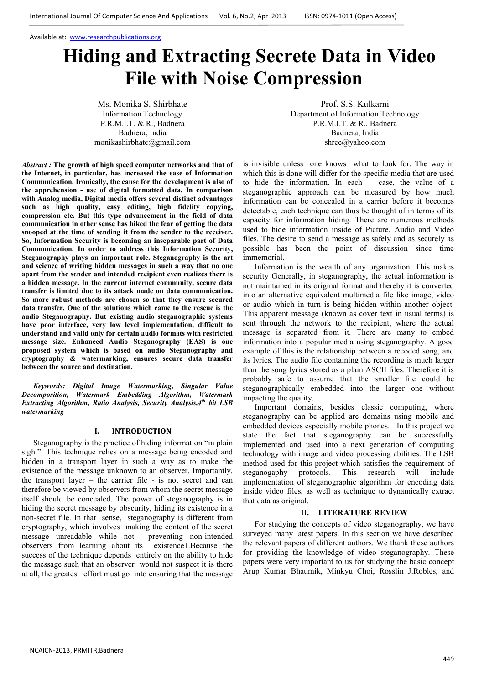# **Hiding and Extracting Secrete Data in Video File with Noise Compression**

Ms. Monika S. Shirbhate Information Technology P.R.M.I.T. & R., Badnera Badnera, India monikashirbhate@gmail.com

*Abstract :* **The growth of high speed computer networks and that of the Internet, in particular, has increased the ease of Information Communication. Ironically, the cause for the development is also of the apprehension - use of digital formatted data. In comparison with Analog media, Digital media offers several distinct advantages such as high quality, easy editing, high fidelity copying, compression etc. But this type advancement in the field of data communication in other sense has hiked the fear of getting the data snooped at the time of sending it from the sender to the receiver. So, Information Security is becoming an inseparable part of Data Communication. In order to address this Information Security, Steganography plays an important role. Steganography is the art and science of writing hidden messages in such a way that no one apart from the sender and intended recipient even realizes there is a hidden message. In the current internet community, secure data transfer is limited due to its attack made on data communication. So more robust methods are chosen so that they ensure secured data transfer. One of the solutions which came to the rescue is the audio Steganography. But existing audio steganographic systems have poor interface, very low level implementation, difficult to understand and valid only for certain audio formats with restricted message size. Enhanced Audio Steganography (EAS) is one proposed system which is based on audio Steganography and cryptography & watermarking, ensures secure data transfer between the source and destination.** 

*Keywords: Digital Image Watermarking, Singular Value Decomposition, Watermark Embedding Algorithm, Watermark Extracting Algorithm, Ratio Analysis, Security Analysis,4th bit LSB watermarking* 

#### **I. INTRODUCTION**

Steganography is the practice of hiding information "in plain sight". This technique relies on a message being encoded and hidden in a transport layer in such a way as to make the existence of the message unknown to an observer. Importantly, the transport layer – the carrier file - is not secret and can therefore be viewed by observers from whom the secret message itself should be concealed. The power of steganography is in hiding the secret message by obscurity, hiding its existence in a non-secret file. In that sense, steganography is different from cryptography, which involves making the content of the secret message unreadable while not observers from learning about its existence1.Because the success of the technique depends entirely on the ability to hide the message such that an observer would not suspect it is there at all, the greatest effort must go into ensuring that the message

Prof. S.S. Kulkarni Department of Information Technology P.R.M.I.T. & R., Badnera Badnera, India shree@yahoo.com

is invisible unless one knows what to look for. The way in which this is done will differ for the specific media that are used to hide the information. In each case, the value of a steganographic approach can be measured by how much information can be concealed in a carrier before it becomes detectable, each technique can thus be thought of in terms of its capacity for information hiding. There are numerous methods used to hide information inside of Picture, Audio and Video files. The desire to send a message as safely and as securely as possible has been the point of discussion since time immemorial.

Information is the wealth of any organization. This makes security Generally, in steganography, the actual information is not maintained in its original format and thereby it is converted into an alternative equivalent multimedia file like image, video or audio which in turn is being hidden within another object. This apparent message (known as cover text in usual terms) is sent through the network to the recipient, where the actual message is separated from it. There are many to embed information into a popular media using steganography. A good example of this is the relationship between a recoded song, and its lyrics. The audio file containing the recording is much larger than the song lyrics stored as a plain ASCII files. Therefore it is probably safe to assume that the smaller file could be steganographically embedded into the larger one without impacting the quality.

Important domains, besides classic computing, where steganography can be applied are domains using mobile and embedded devices especially mobile phones. In this project we state the fact that steganography can be successfully implemented and used into a next generation of computing technology with image and video processing abilities. The LSB method used for this project which satisfies the requirement of steganogaphy protocols. This research will include implementation of steganographic algorithm for encoding data inside video files, as well as technique to dynamically extract that data as original.

## **II. LITERATURE REVIEW**

For studying the concepts of video steganography, we have surveyed many latest papers. In this section we have described the relevant papers of different authors. We thank these authors for providing the knowledge of video steganography. These papers were very important to us for studying the basic concept Arup Kumar Bhaumik, Minkyu Choi, Rosslin J.Robles, and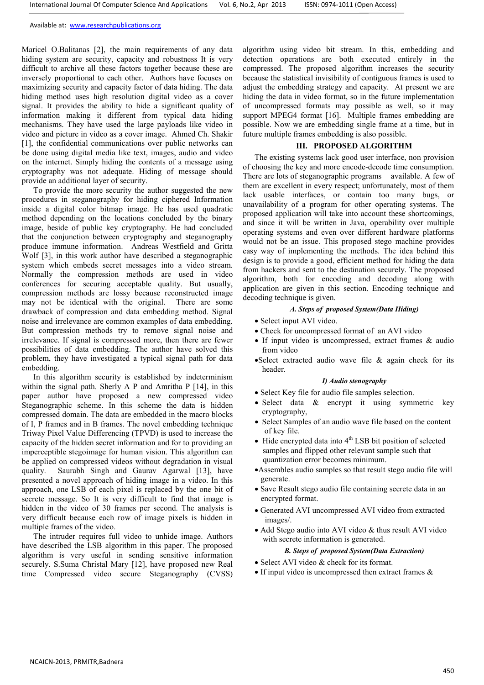Maricel O.Balitanas [2], the main requirements of any data hiding system are security, capacity and robustness It is very difficult to archive all these factors together because these are inversely proportional to each other. Authors have focuses on maximizing security and capacity factor of data hiding. The data hiding method uses high resolution digital video as a cover signal. It provides the ability to hide a significant quality of information making it different from typical data hiding mechanisms. They have used the large payloads like video in video and picture in video as a cover image. Ahmed Ch. Shakir [1], the confidential communications over public networks can be done using digital media like text, images, audio and video on the internet. Simply hiding the contents of a message using cryptography was not adequate. Hiding of message should provide an additional layer of security.

To provide the more security the author suggested the new procedures in steganography for hiding ciphered Information inside a digital color bitmap image. He has used quadratic method depending on the locations concluded by the binary image, beside of public key cryptography. He had concluded that the conjunction between cryptography and steganography produce immune information. Andreas Westfield and Gritta Wolf [3], in this work author have described a steganographic system which embeds secret messages into a video stream. Normally the compression methods are used in video conferences for securing acceptable quality. But usually, compression methods are lossy because reconstructed image may not be identical with the original. There are some drawback of compression and data embedding method. Signal noise and irrelevance are common examples of data embedding. But compression methods try to remove signal noise and irrelevance. If signal is compressed more, then there are fewer possibilities of data embedding. The author have solved this problem, they have investigated a typical signal path for data embedding.

In this algorithm security is established by indeterminism within the signal path. Sherly A P and Amritha P [14], in this paper author have proposed a new compressed video Steganographic scheme. In this scheme the data is hidden compressed domain. The data are embedded in the macro blocks of I, P frames and in B frames. The novel embedding technique Triway Pixel Value Differencing (TPVD) is used to increase the capacity of the hidden secret information and for to providing an imperceptible stegoimage for human vision. This algorithm can be applied on compressed videos without degradation in visual quality. Saurabh Singh and Gaurav Agarwal [13], have presented a novel approach of hiding image in a video. In this approach, one LSB of each pixel is replaced by the one bit of secrete message. So It is very difficult to find that image is hidden in the video of 30 frames per second. The analysis is very difficult because each row of image pixels is hidden in multiple frames of the video.

The intruder requires full video to unhide image. Authors have described the LSB algorithm in this paper. The proposed algorithm is very useful in sending sensitive information securely. S.Suma Christal Mary [12], have proposed new Real time Compressed video secure Steganography (CVSS) algorithm using video bit stream. In this, embedding and detection operations are both executed entirely in the compressed. The proposed algorithm increases the security because the statistical invisibility of contiguous frames is used to adjust the embedding strategy and capacity. At present we are hiding the data in video format, so in the future implementation of uncompressed formats may possible as well, so it may support MPEG4 format [16]. Multiple frames embedding are possible. Now we are embedding single frame at a time, but in future multiple frames embedding is also possible.

## **III. PROPOSED ALGORITHM**

The existing systems lack good user interface, non provision of choosing the key and more encode-decode time consumption. There are lots of steganographic programs available. A few of them are excellent in every respect; unfortunately, most of them lack usable interfaces, or contain too many bugs, or unavailability of a program for other operating systems. The proposed application will take into account these shortcomings, and since it will be written in Java, operability over multiple operating systems and even over different hardware platforms would not be an issue. This proposed stego machine provides easy way of implementing the methods. The idea behind this design is to provide a good, efficient method for hiding the data from hackers and sent to the destination securely. The proposed algorithm, both for encoding and decoding along with application are given in this section. Encoding technique and decoding technique is given.

## *A. Steps of proposed System(Data Hiding)*

- Select input AVI video.
- Check for uncompressed format of an AVI video
- If input video is uncompressed, extract frames & audio from video
- •Select extracted audio wave file & again check for its header.

## *I) Audio stenography*

- Select Key file for audio file samples selection.
- Select data & encrypt it using symmetric key cryptography,
- Select Samples of an audio wave file based on the content of key file.
- Hide encrypted data into  $4<sup>th</sup>$  LSB bit position of selected samples and flipped other relevant sample such that quantization error becomes minimum.
- •Assembles audio samples so that result stego audio file will generate.
- Save Result stego audio file containing secrete data in an encrypted format.
- Generated AVI uncompressed AVI video from extracted images/.
- Add Stego audio into AVI video & thus result AVI video with secrete information is generated.

## *B. Steps of proposed System(Data Extraction)*

- Select AVI video & check for its format.
- If input video is uncompressed then extract frames  $\&$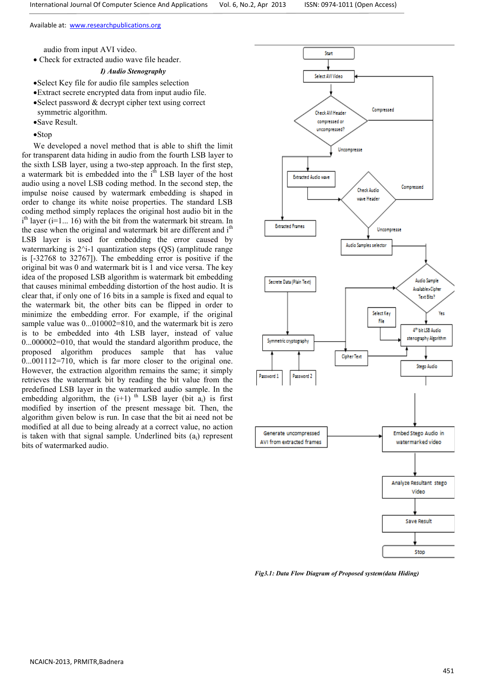audio from input AVI video.

• Check for extracted audio wave file header.

# *I) Audio Stenography*

- •Select Key file for audio file samples selection
- •Extract secrete encrypted data from input audio file.
- •Select password & decrypt cipher text using correct symmetric algorithm.
- •Save Result.
- •Stop

We developed a novel method that is able to shift the limit for transparent data hiding in audio from the fourth LSB layer to the sixth LSB layer, using a two-step approach. In the first step, a watermark bit is embedded into the  $i<sup>th</sup>$  LSB layer of the host audio using a novel LSB coding method. In the second step, the impulse noise caused by watermark embedding is shaped in order to change its white noise properties. The standard LSB coding method simply replaces the original host audio bit in the i<sup>th</sup> layer (i=1... 16) with the bit from the watermark bit stream. In the case when the original and watermark bit are different and  $i<sup>th</sup>$ LSB layer is used for embedding the error caused by watermarking is  $2^i-1$  quantization steps  $(QS)$  (amplitude range is [-32768 to 32767]). The embedding error is positive if the original bit was 0 and watermark bit is 1 and vice versa. The key idea of the proposed LSB algorithm is watermark bit embedding that causes minimal embedding distortion of the host audio. It is clear that, if only one of 16 bits in a sample is fixed and equal to the watermark bit, the other bits can be flipped in order to minimize the embedding error. For example, if the original sample value was  $0...010002=810$ , and the watermark bit is zero is to be embedded into 4th LSB layer, instead of value 0...000002=010, that would the standard algorithm produce, the proposed algorithm produces sample that has value 0...001112=710, which is far more closer to the original one. However, the extraction algorithm remains the same; it simply retrieves the watermark bit by reading the bit value from the predefined LSB layer in the watermarked audio sample. In the embedding algorithm, the  $(i+1)$ <sup>th</sup> LSB layer (bit  $a_i$ ) is first modified by insertion of the present message bit. Then, the algorithm given below is run. In case that the bit ai need not be modified at all due to being already at a correct value, no action is taken with that signal sample. Underlined bits  $(a_i)$  represent bits of watermarked audio.



*Fig3.1: Data Flow Diagram of Proposed system(data Hiding)*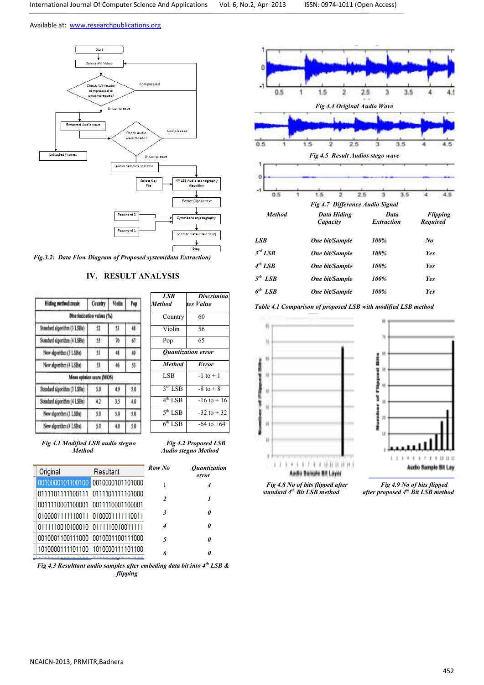

*Fig.3.2: Data Flow Diagram of Proposed system(data Extraction)* 

# **IV. RESULT ANALYSIS**

| Hiding method/music         | Country                   | Violin        | Pop |
|-----------------------------|---------------------------|---------------|-----|
|                             | Discrimination values (%) |               |     |
| Standard algorithm (3 LSBs) | 52                        | 53            | 18  |
| Standard algorithm (4 LSBs) | 55                        | 76            | 67  |
| New algorithm (3 LSBs)      | $\overline{\mathbf{3}}$   | 48            | 49  |
| New algorithm (4 LSBs)      | 53                        | M             | 53  |
|                             | Mean opinion score (MOS)  |               |     |
| Standard algorithm (3 LSBs) | 5,0                       | 49            | 5.0 |
| Standard algorithm (4 LSBs) | 12                        | $\frac{1}{3}$ | 40  |
| New elgorithm (3 LSBs)      | 5.0                       | 5.0           | 5.0 |
| New algorithm (4 LSBs)      | 5.0                       | 4,8           | 5.0 |

| <b>Discrimina</b>         |  |  |  |  |  |
|---------------------------|--|--|--|--|--|
|                           |  |  |  |  |  |
| tes Value                 |  |  |  |  |  |
|                           |  |  |  |  |  |
| 60                        |  |  |  |  |  |
| 56                        |  |  |  |  |  |
|                           |  |  |  |  |  |
| 65                        |  |  |  |  |  |
|                           |  |  |  |  |  |
| <b>Ouantization error</b> |  |  |  |  |  |
| <b>Error</b>              |  |  |  |  |  |
| $-1$ to $+1$              |  |  |  |  |  |
|                           |  |  |  |  |  |
| $-8$ to $+8$              |  |  |  |  |  |
| $-16$ to $+16$            |  |  |  |  |  |
|                           |  |  |  |  |  |
| $-32$ to $+32$            |  |  |  |  |  |
|                           |  |  |  |  |  |
|                           |  |  |  |  |  |

*Fig 4.2 Proposed LSB Audio stegno Method* 

*Fig 4.1 Modified LSB audio stegno Method*

| Original                            | Resultant | Row No        | <i><b>Quantization</b></i><br>error |
|-------------------------------------|-----------|---------------|-------------------------------------|
| 0010000101100100 0010000101101000   |           |               | 4                                   |
| 0111101111100111 0111101111101000   |           | $\mathcal{L}$ | 1                                   |
| 0011110001100001 0011110001100001   |           |               |                                     |
| 0100001111110011 0100001111110011   |           | 3             | f                                   |
| 0111110010100010 0111110010011111   |           | 4             | f                                   |
| 0010001100111000 0010001100111000   |           | 5             | ĥ                                   |
| 1010000111101100   1010000111101100 |           | 6             |                                     |
|                                     |           |               |                                     |

*Fig 4.3 Resulttant audio samples after embeding data bit into 4th LSB & flipping* 



*Table 4.1 Comparison of proposed LSB with modified LSB method*





*Fig 4.9 No of bits flipped after proposed 4th Bit LSB method*